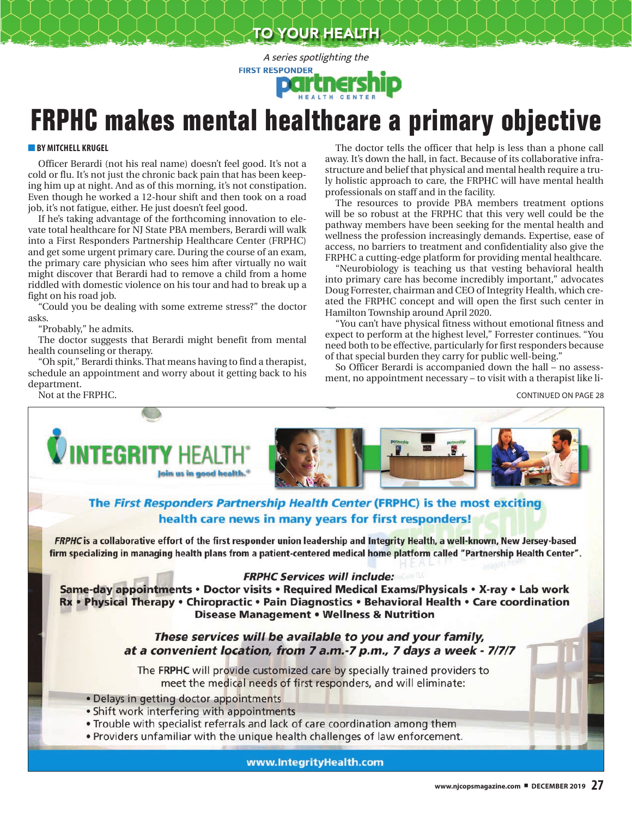TO YOUR HEALTH

A series spotlighting the **FIRST RESPONDER**  Deli

## **FRPHC makes mental healthcare a primary objective**

## **BY MITCHELL KRUGEL**

Officer Berardi (not his real name) doesn't feel good. It's not a cold or flu. It's not just the chronic back pain that has been keeping him up at night. And as of this morning, it's not constipation. Even though he worked a 12-hour shift and then took on a road job, it's not fatigue, either. He just doesn't feel good.

If he's taking advantage of the forthcoming innovation to elevate total healthcare for NJ State PBA members, Berardi will walk into a First Responders Partnership Healthcare Center (FRPHC) and get some urgent primary care. During the course of an exam, the primary care physician who sees him after virtually no wait might discover that Berardi had to remove a child from a home riddled with domestic violence on his tour and had to break up a fight on his road job.

"Could you be dealing with some extreme stress?" the doctor asks.

"Probably," he admits.

The doctor suggests that Berardi might benefit from mental health counseling or therapy.

"Oh spit," Berardi thinks. That means having to find a therapist, schedule an appointment and worry about it getting back to his department. Not at the FRPHC.

The doctor tells the officer that help is less than a phone call away. It's down the hall, in fact. Because of its collaborative infrastructure and belief that physical and mental health require a truly holistic approach to care, the FRPHC will have mental health professionals on staff and in the facility.

The resources to provide PBA members treatment options will be so robust at the FRPHC that this very well could be the pathway members have been seeking for the mental health and wellness the profession increasingly demands. Expertise, ease of access, no barriers to treatment and confidentiality also give the FRPHC a cutting-edge platform for providing mental healthcare.

"Neurobiology is teaching us that vesting behavioral health into primary care has become incredibly important," advocates Doug Forrester, chairman and CEO of Integrity Health, which created the FRPHC concept and will open the first such center in Hamilton Township around April 2020.

"You can't have physical fitness without emotional fitness and expect to perform at the highest level," Forrester continues. "You need both to be effective, particularly for first responders because of that special burden they carry for public well-being."

So Officer Berardi is accompanied down the hall – no assessment, no appointment necessary – to visit with a therapist like li-

CONTINUED ON PAGE 28